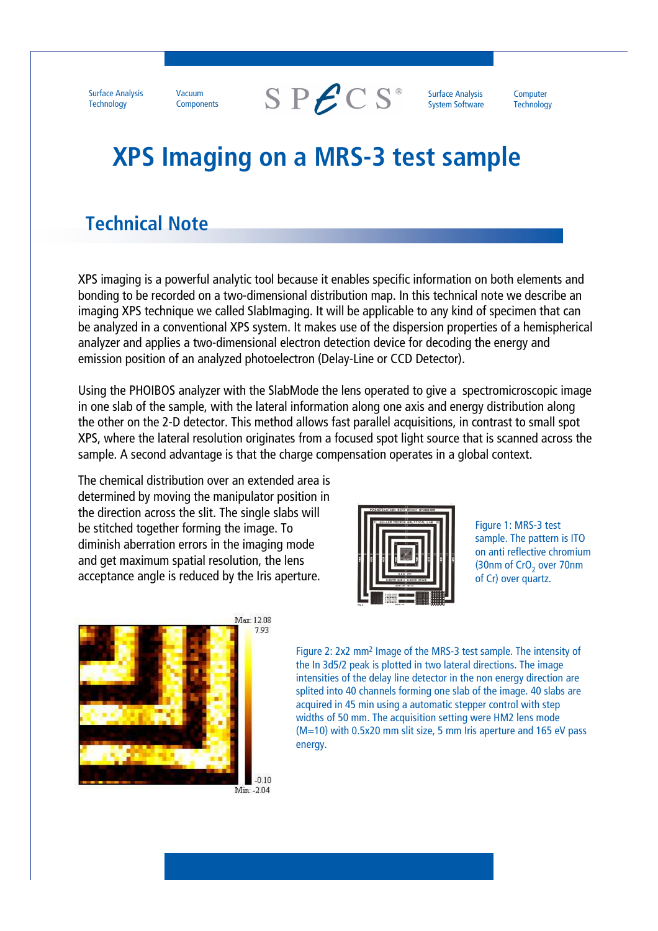**Surface Analysis Technology** 

Vacuum Components  $S$  P $\mathcal{L}$ CS<sup>®</sup>

**Surface Analysis System Software** 

Computer **Technology** 

## **XPS Imaging on a MRS-3 test sample**

## **Technical Note**

XPS imaging is a powerful analytic tool because it enables specific information on both elements and bonding to be recorded on a two-dimensional distribution map. In this technical note we describe an imaging XPS technique we called Slablmaging. It will be applicable to any kind of specimen that can be analyzed in a conventional XPS system. It makes use of the dispersion properties of a hemispherical analyzer and applies a two-dimensional electron detection device for decoding the energy and emission position of an analyzed photoelectron (Delay-Line or CCD Detector).

Using the PHOIBOS analyzer with the SlabMode the lens operated to give a spectromicroscopic image in one slab of the sample, with the lateral information along one axis and energy distribution along the other on the 2-D detector. This method allows fast parallel acquisitions, in contrast to small spot XPS, where the lateral resolution originates from a focused spot light source that is scanned across the sample. A second advantage is that the charge compensation operates in a global context.

The chemical distribution over an extended area is determined by moving the manipulator position in the direction across the slit. The single slabs will be stitched together forming the image. To diminish aberration errors in the imaging mode and get maximum spatial resolution, the lens acceptance angle is reduced by the Iris aperture.



Figure 1: MRS-3 test sample. The pattern is ITO on anti reflective chromium (30nm of CrO<sub>2</sub> over 70nm of Cr) over quartz.



Figure 2: 2x2 mm<sup>2</sup> Image of the MRS-3 test sample. The intensity of the In 3d5/2 peak is plotted in two lateral directions. The image intensities of the delay line detector in the non energy direction are splited into 40 channels forming one slab of the image. 40 slabs are acquired in 45 min using a automatic stepper control with step widths of 50 mm. The acquisition setting were HM2 lens mode (M=10) with 0.5x20 mm slit size, 5 mm Iris aperture and 165 eV pass energy.